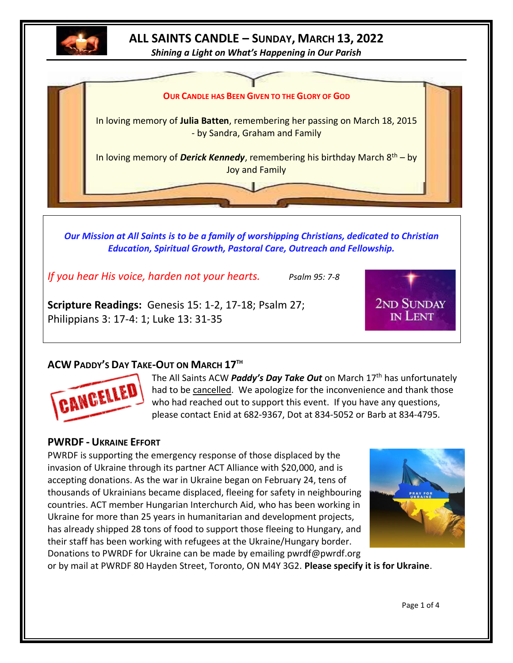

# **ALL SAINTS CANDLE – SUNDAY, MARCH 13, 2022**

*Shining a Light on What's Happening in Our Parish*



*Our Mission at All Saints is to be a family of worshipping Christians, dedicated to Christian Education, Spiritual Growth, Pastoral Care, Outreach and Fellowship.*

*If you hear His voice, harden not your hearts. Psalm 95: 7-8*

**Scripture Readings:** Genesis 15: 1-2, 17-18; Psalm 27; Philippians 3: 17-4: 1; Luke 13: 31-35



# **ACW PADDY'S DAY TAKE-OUT ON MARCH 17TH**



The All Saints ACW *Paddy's Day Take Out* on March 17<sup>th</sup> has unfortunately had to be cancelled. We apologize for the inconvenience and thank those who had reached out to support this event. If you have any questions, please contact Enid at 682-9367, Dot at 834-5052 or Barb at 834-4795.

# **PWRDF - UKRAINE EFFORT**

PWRDF is supporting the emergency response of those displaced by the invasion of Ukraine through its partner ACT Alliance with \$20,000, and is accepting donations. As the war in Ukraine began on February 24, tens of thousands of Ukrainians became displaced, fleeing for safety in neighbouring countries. ACT member Hungarian Interchurch Aid, who has been working in Ukraine for more than 25 years in humanitarian and development projects, has already shipped 28 tons of food to support those fleeing to Hungary, and their staff has been working with refugees at the Ukraine/Hungary border. Donations to PWRDF for Ukraine can be made by emailing pwrdf@pwrdf.org



or by mail at PWRDF 80 Hayden Street, Toronto, ON M4Y 3G2. **Please specify it is for Ukraine**.

Page 1 of 4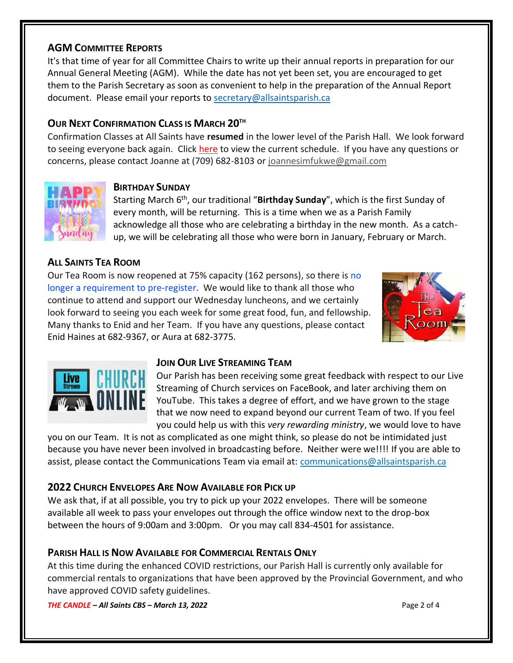# **AGM COMMITTEE REPORTS**

It's that time of year for all Committee Chairs to write up their annual reports in preparation for our Annual General Meeting (AGM). While the date has not yet been set, you are encouraged to get them to the Parish Secretary as soon as convenient to help in the preparation of the Annual Report document. Please email your reports to [secretary@allsaintsparish.ca](mailto:secretary@allsaintsparish.ca)

# **OUR NEXT CONFIRMATION CLASS IS MARCH 20TH**

Confirmation Classes at All Saints have **resumed** in the lower level of the Parish Hall. We look forward to seeing everyone back again. Click [here](http://allsaintsparish.ca/document_library/Confirmation%20Schedule%20220227.pdf) to view the current schedule. If you have any questions or concerns, please contact Joanne at (709) 682-8103 or [joannesimfukwe@gmail.com](mailto:joannesimfukwe@gmail.com)



#### **BIRTHDAY SUNDAY**

Starting March 6<sup>th</sup>, our traditional "Birthday Sunday", which is the first Sunday of every month, will be returning. This is a time when we as a Parish Family acknowledge all those who are celebrating a birthday in the new month. As a catchup, we will be celebrating all those who were born in January, February or March.

# **ALL SAINTS TEA ROOM**

Our Tea Room is now reopened at 75% capacity (162 persons), so there is no longer a requirement to pre-register. We would like to thank all those who continue to attend and support our Wednesday luncheons, and we certainly look forward to seeing you each week for some great food, fun, and fellowship. Many thanks to Enid and her Team. If you have any questions, please contact Enid Haines at 682-9367, or Aura at 682-3775.





#### **JOIN OUR LIVE STREAMING TEAM**

Our Parish has been receiving some great feedback with respect to our Live Streaming of Church services on FaceBook, and later archiving them on YouTube. This takes a degree of effort, and we have grown to the stage that we now need to expand beyond our current Team of two. If you feel you could help us with this *very rewarding ministry*, we would love to have

you on our Team. It is not as complicated as one might think, so please do not be intimidated just because you have never been involved in broadcasting before. Neither were we!!!! If you are able to assist, please contact the Communications Team via email at: [communications@allsaintsparish.ca](mailto:communications@allsaintsparish.ca?subject=Live%20Streaming%20Team) 

### **2022 CHURCH ENVELOPES ARE NOW AVAILABLE FOR PICK UP**

We ask that, if at all possible, you try to pick up your 2022 envelopes. There will be someone available all week to pass your envelopes out through the office window next to the drop-box between the hours of 9:00am and 3:00pm. Or you may call 834-4501 for assistance.

### **PARISH HALL IS NOW AVAILABLE FOR COMMERCIAL RENTALS ONLY**

At this time during the enhanced COVID restrictions, our Parish Hall is currently only available for commercial rentals to organizations that have been approved by the Provincial Government, and who have approved COVID safety guidelines.

*THE CANDLE – All Saints CBS – March 13, 2022* Page 2 of 4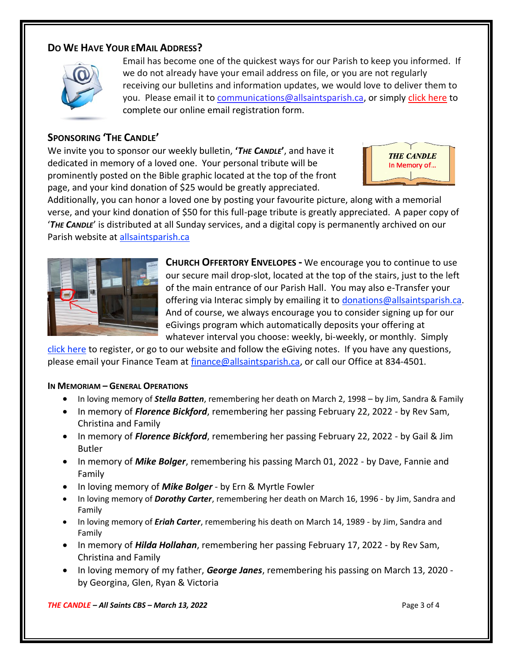### **DO WE HAVE YOUR EMAIL ADDRESS?**



Email has become one of the quickest ways for our Parish to keep you informed. If we do not already have your email address on file, or you are not regularly receiving our bulletins and information updates, we would love to deliver them to you. Please email it to [communications@allsaintsparish.ca,](mailto:communications@allsaintsparish.ca?subject=eMail%20Address%20Update) or simply [click here](http://allsaintsparish.ca/email_updates) to complete our online email registration form.

### **SPONSORING 'THE CANDLE'**

We invite you to sponsor our weekly bulletin, **'***THE CANDLE***'**, and have it dedicated in memory of a loved one. Your personal tribute will be prominently posted on the Bible graphic located at the top of the front page, and your kind donation of \$25 would be greatly appreciated.



Additionally, you can honor a loved one by posting your favourite picture, along with a memorial verse, and your kind donation of \$50 for this full-page tribute is greatly appreciated. A paper copy of '*THE CANDLE*' is distributed at all Sunday services, and a digital copy is permanently archived on our Parish website at [allsaintsparish.ca](http://allsaintsparish.ca/thecandle.html)



**CHURCH OFFERTORY ENVELOPES -** We encourage you to continue to use our secure mail drop-slot, located at the top of the stairs, just to the left of the main entrance of our Parish Hall. You may also e-Transfer your offering via Interac simply by emailing it to [donations@allsaintsparish.ca.](mailto:donations@allsaintsparish.ca) And of course, we always encourage you to consider signing up for our eGivings program which automatically deposits your offering at whatever interval you choose: weekly, bi-weekly, or monthly. Simply

[click here](http://allsaintsparish.ca/egiving-online-information-form) to register, or go to our website and follow the eGiving notes. If you have [any](https://wfsites-to.websitecreatorprotool.com/870a5dd5.com/Admin/%7BSK_NODEID__22939341__SK%7D) questions, please email your Finance Team at [finance@allsaintsparish.ca,](mailto:finance@allsaintsparish.ca) or call our Office at 834-4501.

#### **IN MEMORIAM – GENERAL OPERATIONS**

- In loving memory of *Stella Batten*, remembering her death on March 2, 1998 by Jim, Sandra & Family
- In memory of *Florence Bickford*, remembering her passing February 22, 2022 by Rev Sam, Christina and Family
- In memory of *Florence Bickford*, remembering her passing February 22, 2022 by Gail & Jim Butler
- In memory of *Mike Bolger*, remembering his passing March 01, 2022 by Dave, Fannie and Family
- In loving memory of *Mike Bolger* by Ern & Myrtle Fowler
- In loving memory of *Dorothy Carter*, remembering her death on March 16, 1996 by Jim, Sandra and Family
- In loving memory of *Eriah Carter*, remembering his death on March 14, 1989 by Jim, Sandra and Family
- In memory of *Hilda Hollahan*, remembering her passing February 17, 2022 by Rev Sam, Christina and Family
- In loving memory of my father, *George Janes*, remembering his passing on March 13, 2020 by Georgina, Glen, Ryan & Victoria